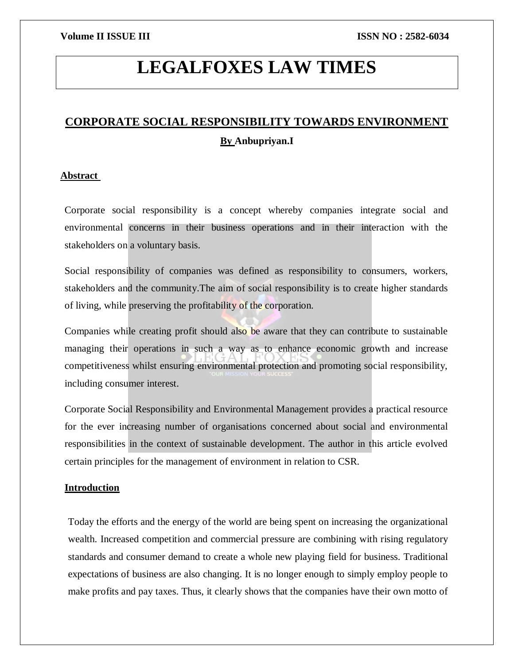# **LEGALFOXES LAW TIMES**

## **CORPORATE SOCIAL RESPONSIBILITY TOWARDS ENVIRONMENT By Anbupriyan.I**

### **Abstract**

Corporate social responsibility is a concept whereby companies integrate social and environmental concerns in their business operations and in their interaction with the stakeholders on a voluntary basis.

Social responsibility of companies was defined as responsibility to consumers, workers, stakeholders and the community.The aim of social responsibility is to create higher standards of living, while preserving the profitability of the corporation.

Companies while creating profit should also be aware that they can contribute to sustainable managing their operations in such a way as to enhance economic growth and increase competitiveness whilst ensuring environmental protection and promoting social responsibility, including consumer interest.

Corporate Social Responsibility and Environmental Management provides a practical resource for the ever increasing number of organisations concerned about social and environmental responsibilities in the context of sustainable development. The author in this article evolved certain principles for the management of environment in relation to CSR.

#### **Introduction**

Today the efforts and the energy of the world are being spent on increasing the organizational wealth. Increased competition and commercial pressure are combining with rising regulatory standards and consumer demand to create a whole new playing field for business. Traditional expectations of business are also changing. It is no longer enough to simply employ people to make profits and pay taxes. Thus, it clearly shows that the companies have their own motto of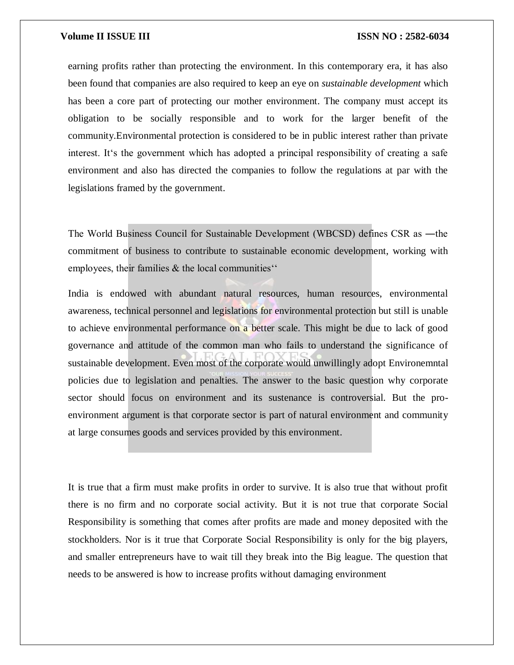earning profits rather than protecting the environment. In this contemporary era, it has also been found that companies are also required to keep an eye on *sustainable development* which has been a core part of protecting our mother environment. The company must accept its obligation to be socially responsible and to work for the larger benefit of the community.Environmental protection is considered to be in public interest rather than private interest. It's the government which has adopted a principal responsibility of creating a safe environment and also has directed the companies to follow the regulations at par with the legislations framed by the government.

The World Business Council for Sustainable Development (WBCSD) defines CSR as ―the commitment of business to contribute to sustainable economic development, working with employees, their families & the local communities''

India is endowed with abundant natural resources, human resources, environmental awareness, technical personnel and legislations for environmental protection but still is unable to achieve environmental performance on a better scale. This might be due to lack of good governance and attitude of the common man who fails to understand the significance of sustainable development. Even most of the corporate would unwillingly adopt Environemntal policies due to legislation and penalties. The answer to the basic question why corporate sector should focus on environment and its sustenance is controversial. But the proenvironment argument is that corporate sector is part of natural environment and community at large consumes goods and services provided by this environment.

It is true that a firm must make profits in order to survive. It is also true that without profit there is no firm and no corporate social activity. But it is not true that corporate Social Responsibility is something that comes after profits are made and money deposited with the stockholders. Nor is it true that Corporate Social Responsibility is only for the big players, and smaller entrepreneurs have to wait till they break into the Big league. The question that needs to be answered is how to increase profits without damaging environment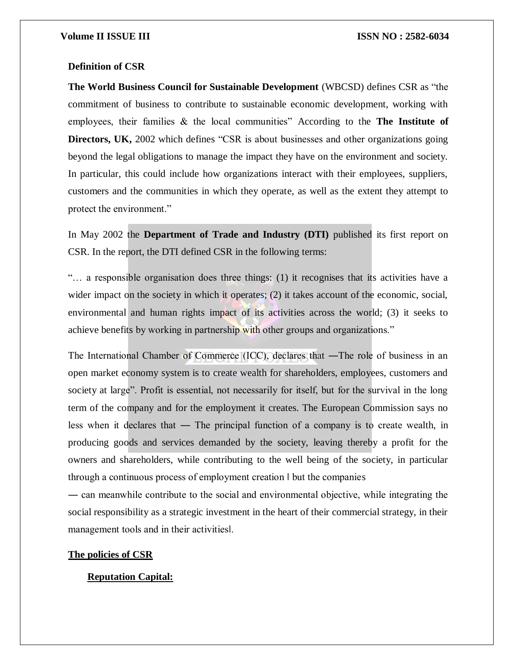#### **Definition of CSR**

**The World Business Council for Sustainable Development** (WBCSD) defines CSR as "the commitment of business to contribute to sustainable economic development, working with employees, their families & the local communities" According to the **The Institute of Directors, UK,** 2002 which defines "CSR is about businesses and other organizations going beyond the legal obligations to manage the impact they have on the environment and society. In particular, this could include how organizations interact with their employees, suppliers, customers and the communities in which they operate, as well as the extent they attempt to protect the environment."

In May 2002 the **Department of Trade and Industry (DTI)** published its first report on CSR. In the report, the DTI defined CSR in the following terms:

"… a responsible organisation does three things: (1) it recognises that its activities have a wider impact on the society in which it operates; (2) it takes account of the economic, social, environmental and human rights impact of its activities across the world; (3) it seeks to achieve benefits by working in partnership with other groups and organizations."

The International Chamber of Commerce (ICC), declares that ―The role of business in an open market economy system is to create wealth for shareholders, employees, customers and society at large". Profit is essential, not necessarily for itself, but for the survival in the long term of the company and for the employment it creates. The European Commission says no less when it declares that ― The principal function of a company is to create wealth, in producing goods and services demanded by the society, leaving thereby a profit for the owners and shareholders, while contributing to the well being of the society, in particular through a continuous process of employment creation ‖ but the companies

― can meanwhile contribute to the social and environmental objective, while integrating the social responsibility as a strategic investment in the heart of their commercial strategy, in their management tools and in their activities‖.

#### **The policies of CSR**

### **Reputation Capital:**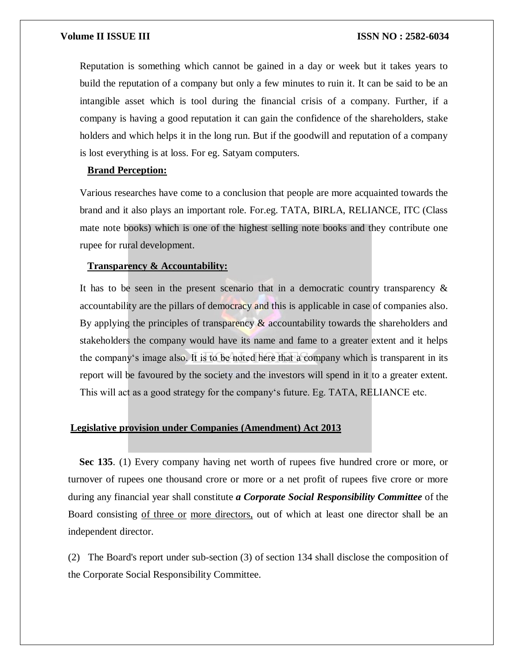Reputation is something which cannot be gained in a day or week but it takes years to build the reputation of a company but only a few minutes to ruin it. It can be said to be an intangible asset which is tool during the financial crisis of a company. Further, if a company is having a good reputation it can gain the confidence of the shareholders, stake holders and which helps it in the long run. But if the goodwill and reputation of a company is lost everything is at loss. For eg. Satyam computers.

### **Brand Perception:**

Various researches have come to a conclusion that people are more acquainted towards the brand and it also plays an important role. For.eg. TATA, BIRLA, RELIANCE, ITC (Class mate note books) which is one of the highest selling note books and they contribute one rupee for rural development.

#### **Transparency & Accountability:**

It has to be seen in the present scenario that in a democratic country transparency  $\&$ accountability are the pillars of democracy and this is applicable in case of companies also. By applying the principles of transparency  $\&$  accountability towards the shareholders and stakeholders the company would have its name and fame to a greater extent and it helps the company's image also. It is to be noted here that a company which is transparent in its report will be favoured by the society and the investors will spend in it to a greater extent. This will act as a good strategy for the company's future. Eg. TATA, RELIANCE etc.

#### **Legislative provision under Companies (Amendment) Act 2013**

**Sec 135**. (1) Every company having net worth of rupees five hundred crore or more, or turnover of rupees one thousand crore or more or a net profit of rupees five crore or more during any financial year shall constitute *a Corporate Social Responsibility Committee* of the Board consisting of three or more directors, out of which at least one director shall be an independent director.

(2) The Board's report under sub-section (3) of section 134 shall disclose the composition of the Corporate Social Responsibility Committee.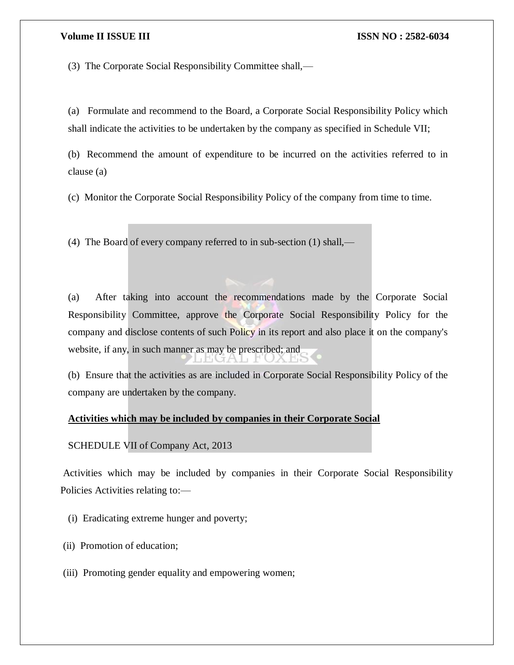(3) The Corporate Social Responsibility Committee shall,—

(a) Formulate and recommend to the Board, a Corporate Social Responsibility Policy which shall indicate the activities to be undertaken by the company as specified in Schedule VII;

(b) Recommend the amount of expenditure to be incurred on the activities referred to in clause (a)

(c) Monitor the Corporate Social Responsibility Policy of the company from time to time.

(4) The Board of every company referred to in sub-section (1) shall,—

(a) After taking into account the recommendations made by the Corporate Social Responsibility Committee, approve the Corporate Social Responsibility Policy for the company and disclose contents of such Policy in its report and also place it on the company's website, if any, in such manner as may be prescribed; and

(b) Ensure that the activities as are included in Corporate Social Responsibility Policy of the company are undertaken by the company.

#### **Activities which may be included by companies in their Corporate Social**

#### SCHEDULE VII of Company Act, 2013

Activities which may be included by companies in their Corporate Social Responsibility Policies Activities relating to:—

- (i) Eradicating extreme hunger and poverty;
- (ii) Promotion of education;
- (iii) Promoting gender equality and empowering women;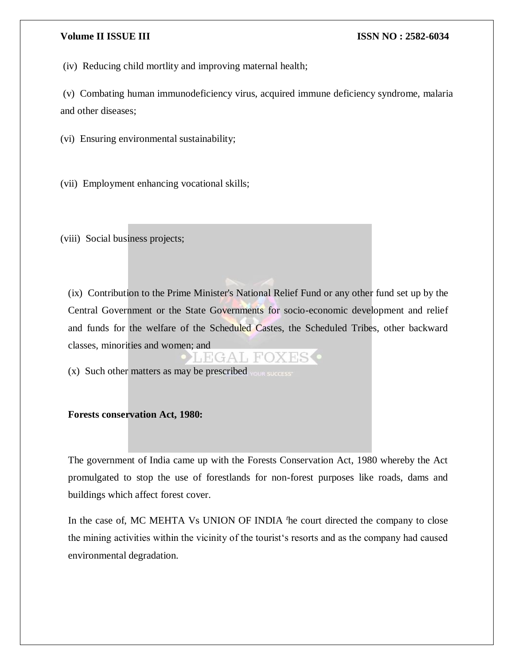(iv) Reducing child mortlity and improving maternal health;

(v) Combating human immunodeficiency virus, acquired immune deficiency syndrome, malaria and other diseases;

(vi) Ensuring environmental sustainability;

(vii) Employment enhancing vocational skills;

(viii) Social business projects;

(ix) Contribution to the Prime Minister's National Relief Fund or any other fund set up by the Central Government or the State Governments for socio-economic development and relief and funds for the welfare of the Scheduled Castes, the Scheduled Tribes, other backward classes, minorities and women; and

**JEGAL FOXES** 

(x) Such other matters as may be prescribed  $_{\text{YOLIR SUCCESS}}$ 

#### **Forests conservation Act, 1980:**

The government of India came up with the Forests Conservation Act, 1980 whereby the Act promulgated to stop the use of forestlands for non-forest purposes like roads, dams and buildings which affect forest cover.

In the case of, MC MEHTA Vs UNION OF INDIA *<sup>t</sup>* he court directed the company to close the mining activities within the vicinity of the tourist's resorts and as the company had caused environmental degradation.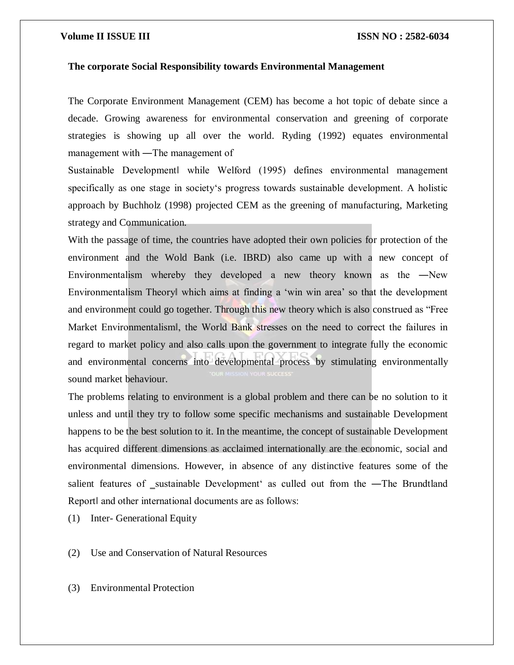#### **The corporate Social Responsibility towards Environmental Management**

The Corporate Environment Management (CEM) has become a hot topic of debate since a decade. Growing awareness for environmental conservation and greening of corporate strategies is showing up all over the world. Ryding (1992) equates environmental management with ―The management of

Sustainable Development‖ while Welford (1995) defines environmental management specifically as one stage in society's progress towards sustainable development. A holistic approach by Buchholz (1998) projected CEM as the greening of manufacturing, Marketing strategy and Communication.

With the passage of time, the countries have adopted their own policies for protection of the environment and the Wold Bank (i.e. IBRD) also came up with a new concept of Environmentalism whereby they developed a new theory known as the ―New Environmentalism Theory‖ which aims at finding a 'win win area' so that the development and environment could go together. Through this new theory which is also construed as "Free Market Environmentalism‖, the World Bank stresses on the need to correct the failures in regard to market policy and also calls upon the government to integrate fully the economic and environmental concerns into developmental process by stimulating environmentally sound market behaviour.

The problems relating to environment is a global problem and there can be no solution to it unless and until they try to follow some specific mechanisms and sustainable Development happens to be the best solution to it. In the meantime, the concept of sustainable Development has acquired different dimensions as acclaimed internationally are the economic, social and environmental dimensions. However, in absence of any distinctive features some of the salient features of sustainable Development' as culled out from the —The Brundtland Report and other international documents are as follows:

(1) Inter- Generational Equity

(2) Use and Conservation of Natural Resources

(3) Environmental Protection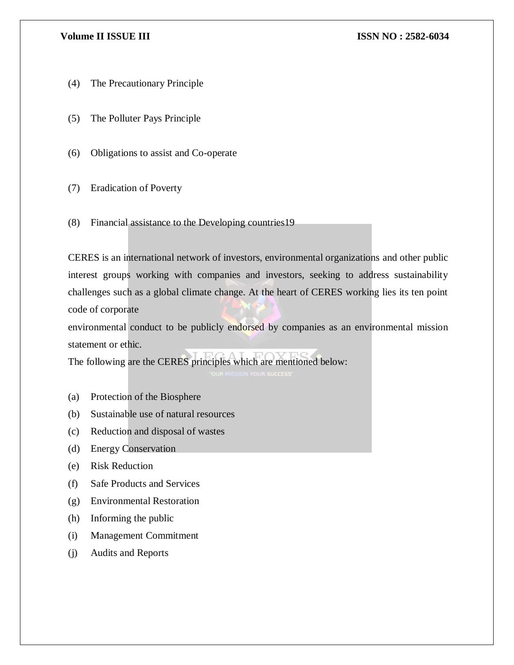- (4) The Precautionary Principle
- (5) The Polluter Pays Principle
- (6) Obligations to assist and Co-operate
- (7) Eradication of Poverty
- (8) Financial assistance to the Developing countries19

CERES is an international network of investors, environmental organizations and other public interest groups working with companies and investors, seeking to address sustainability challenges such as a global climate change. At the heart of CERES working lies its ten point code of corporate

environmental conduct to be publicly endorsed by companies as an environmental mission statement or ethic.

The following are the CERES principles which are mentioned below:

- (a) Protection of the Biosphere
- (b) Sustainable use of natural resources
- (c) Reduction and disposal of wastes
- (d) Energy Conservation
- (e) Risk Reduction
- (f) Safe Products and Services
- (g) Environmental Restoration
- (h) Informing the public
- (i) Management Commitment
- (j) Audits and Reports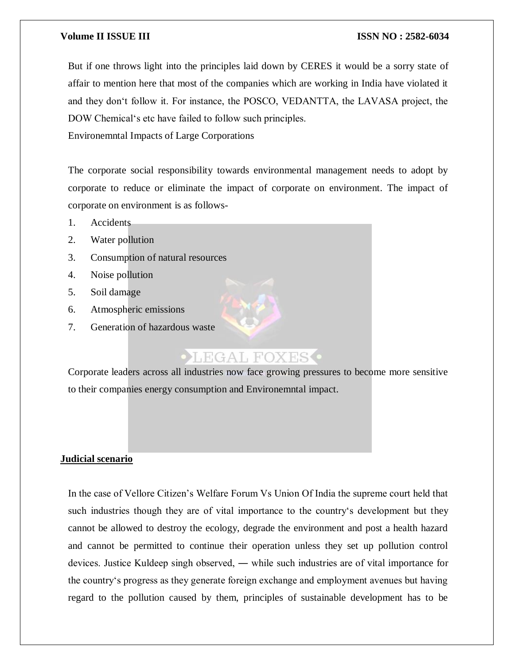But if one throws light into the principles laid down by CERES it would be a sorry state of affair to mention here that most of the companies which are working in India have violated it and they don't follow it. For instance, the POSCO, VEDANTTA, the LAVASA project, the DOW Chemical's etc have failed to follow such principles.

Environemntal Impacts of Large Corporations

The corporate social responsibility towards environmental management needs to adopt by corporate to reduce or eliminate the impact of corporate on environment. The impact of corporate on environment is as follows-

- 1. Accidents
- 2. Water pollution
- 3. Consumption of natural resources
- 4. Noise pollution
- 5. Soil damage
- 6. Atmospheric emissions
- 7. Generation of hazardous waste

## **•LEGAL FOXES**

Corporate leaders across all industries now face growing pressures to become more sensitive to their companies energy consumption and Environemntal impact.

### **Judicial scenario**

In the case of Vellore Citizen's Welfare Forum Vs Union Of India the supreme court held that such industries though they are of vital importance to the country's development but they cannot be allowed to destroy the ecology, degrade the environment and post a health hazard and cannot be permitted to continue their operation unless they set up pollution control devices. Justice Kuldeep singh observed, ― while such industries are of vital importance for the country's progress as they generate foreign exchange and employment avenues but having regard to the pollution caused by them, principles of sustainable development has to be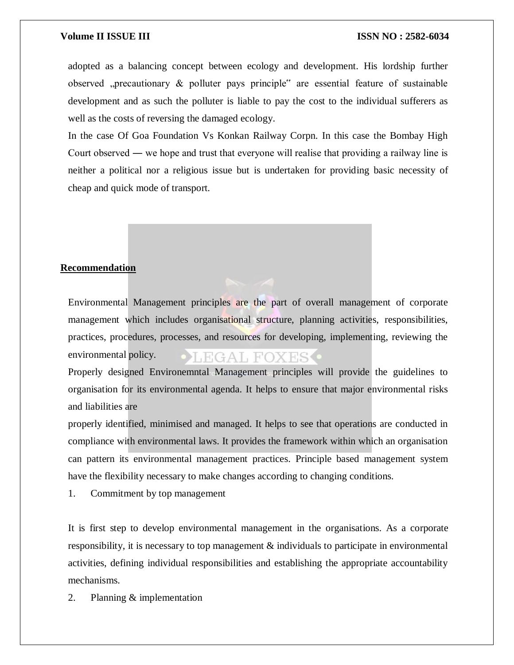adopted as a balancing concept between ecology and development. His lordship further observed , precautionary  $\&$  polluter pays principle" are essential feature of sustainable development and as such the polluter is liable to pay the cost to the individual sufferers as well as the costs of reversing the damaged ecology.

In the case Of Goa Foundation Vs Konkan Railway Corpn. In this case the Bombay High Court observed ― we hope and trust that everyone will realise that providing a railway line is neither a political nor a religious issue but is undertaken for providing basic necessity of cheap and quick mode of transport.



Environmental Management principles are the part of overall management of corporate management which includes organisational structure, planning activities, responsibilities, practices, procedures, processes, and resources for developing, implementing, reviewing the environmental policy. EGAL FOX

Properly designed Environemntal Management principles will provide the guidelines to organisation for its environmental agenda. It helps to ensure that major environmental risks and liabilities are

properly identified, minimised and managed. It helps to see that operations are conducted in compliance with environmental laws. It provides the framework within which an organisation can pattern its environmental management practices. Principle based management system have the flexibility necessary to make changes according to changing conditions.

1. Commitment by top management

It is first step to develop environmental management in the organisations. As a corporate responsibility, it is necessary to top management & individuals to participate in environmental activities, defining individual responsibilities and establishing the appropriate accountability mechanisms.

2. Planning & implementation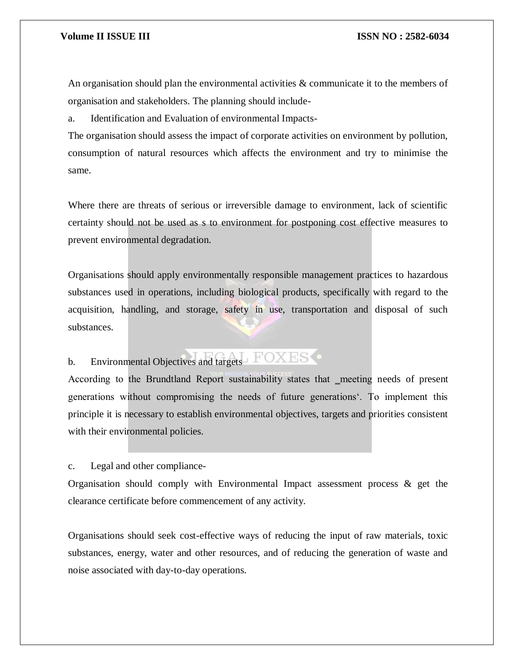An organisation should plan the environmental activities & communicate it to the members of organisation and stakeholders. The planning should include-

a. Identification and Evaluation of environmental Impacts-

The organisation should assess the impact of corporate activities on environment by pollution, consumption of natural resources which affects the environment and try to minimise the same.

Where there are threats of serious or irreversible damage to environment, lack of scientific certainty should not be used as s to environment for postponing cost effective measures to prevent environmental degradation.

Organisations should apply environmentally responsible management practices to hazardous substances used in operations, including biological products, specifically with regard to the acquisition, handling, and storage, safety in use, transportation and disposal of such substances.

b. Environmental Objectives and targets FOXES

According to the Brundtland Report sustainability states that meeting needs of present generations without compromising the needs of future generations'. To implement this principle it is necessary to establish environmental objectives, targets and priorities consistent with their environmental policies.

c. Legal and other compliance-

Organisation should comply with Environmental Impact assessment process & get the clearance certificate before commencement of any activity.

Organisations should seek cost-effective ways of reducing the input of raw materials, toxic substances, energy, water and other resources, and of reducing the generation of waste and noise associated with day-to-day operations.